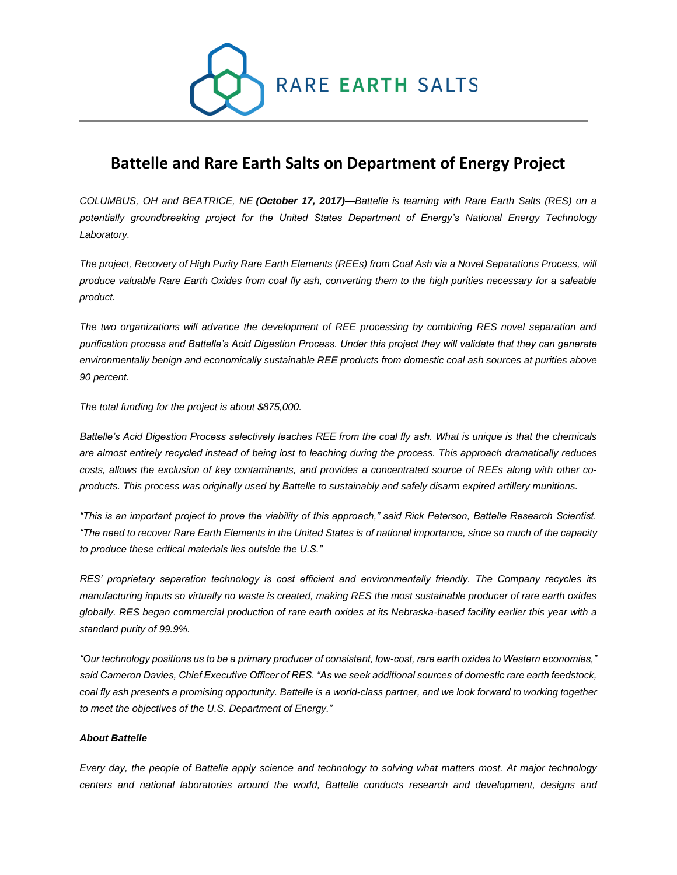

# **Battelle and Rare Earth Salts on Department of Energy Project**

*COLUMBUS, OH and BEATRICE, NE (October 17, 2017)—Battelle is teaming with Rare Earth Salts (RES) on a potentially groundbreaking project for the United States Department of Energy's National Energy Technology Laboratory.*

*The project, Recovery of High Purity Rare Earth Elements (REEs) from Coal Ash via a Novel Separations Process, will produce valuable Rare Earth Oxides from coal fly ash, converting them to the high purities necessary for a saleable product.*

*The two organizations will advance the development of REE processing by combining RES novel separation and purification process and Battelle's Acid Digestion Process. Under this project they will validate that they can generate environmentally benign and economically sustainable REE products from domestic coal ash sources at purities above 90 percent.*

*The total funding for the project is about \$875,000.*

*Battelle's Acid Digestion Process selectively leaches REE from the coal fly ash. What is unique is that the chemicals are almost entirely recycled instead of being lost to leaching during the process. This approach dramatically reduces costs, allows the exclusion of key contaminants, and provides a concentrated source of REEs along with other coproducts. This process was originally used by Battelle to sustainably and safely disarm expired artillery munitions.*

*"This is an important project to prove the viability of this approach," said Rick Peterson, Battelle Research Scientist. "The need to recover Rare Earth Elements in the United States is of national importance, since so much of the capacity to produce these critical materials lies outside the U.S."*

*RES' proprietary separation technology is cost efficient and environmentally friendly. The Company recycles its manufacturing inputs so virtually no waste is created, making RES the most sustainable producer of rare earth oxides globally. RES began commercial production of rare earth oxides at its Nebraska-based facility earlier this year with a standard purity of 99.9%.*

*"Our technology positions us to be a primary producer of consistent, low-cost, rare earth oxides to Western economies," said Cameron Davies, Chief Executive Officer of RES. "As we seek additional sources of domestic rare earth feedstock,*  coal fly ash presents a promising opportunity. Battelle is a world-class partner, and we look forward to working together *to meet the objectives of the U.S. Department of Energy."*

## *About Battelle*

*Every day, the people of Battelle apply science and technology to solving what matters most. At major technology centers and national laboratories around the world, Battelle conducts research and development, designs and*